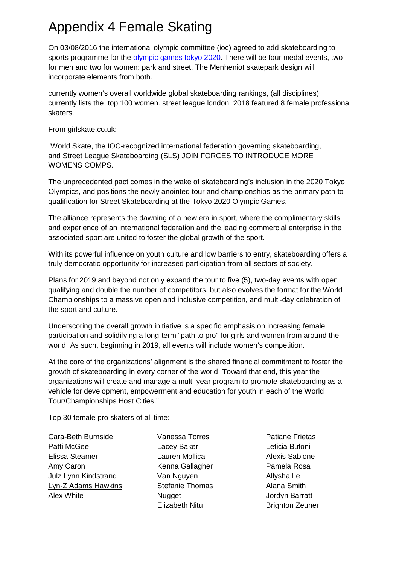## Appendix 4 Female Skating

On 03/08/2016 the international olympic committee (ioc) agreed to add skateboarding to sports programme for the olympic games tokyo 2020. There will be four medal events, two for men and two for women: park and street. The Menheniot skatepark design will incorporate elements from both.

currently women's overall worldwide global skateboarding rankings, (all disciplines) currently lists the top 100 women. street league london 2018 featured 8 female professional skaters.

From girlskate.co.uk:

"World Skate, the IOC-recognized international federation governing skateboarding, and Street League Skateboarding (SLS) JOIN FORCES TO INTRODUCE MORE WOMENS COMPS.

The unprecedented pact comes in the wake of skateboarding's inclusion in the 2020 Tokyo Olympics, and positions the newly anointed tour and championships as the primary path to qualification for Street Skateboarding at the Tokyo 2020 Olympic Games.

The alliance represents the dawning of a new era in sport, where the complimentary skills and experience of an international federation and the leading commercial enterprise in the associated sport are united to foster the global growth of the sport.

With its powerful influence on youth culture and low barriers to entry, skateboarding offers a truly democratic opportunity for increased participation from all sectors of society.

Plans for 2019 and beyond not only expand the tour to five (5), two-day events with open qualifying and double the number of competitors, but also evolves the format for the World Championships to a massive open and inclusive competition, and multi-day celebration of the sport and culture.

Underscoring the overall growth initiative is a specific emphasis on increasing female participation and solidifying a long-term "path to pro" for girls and women from around the world. As such, beginning in 2019, all events will include women's competition.

At the core of the organizations' alignment is the shared financial commitment to foster the growth of skateboarding in every corner of the world. Toward that end, this year the organizations will create and manage a multi-year program to promote skateboarding as a vehicle for development, empowerment and education for youth in each of the World Tour/Championships Host Cities."

Top 30 female pro skaters of all time:

Cara-Beth Burnside Patti McGee Elissa Steamer Amy Caron Julz Lynn Kindstrand Lyn-Z Adams Hawkins Alex White

Vanessa Torres Lacey Baker Lauren Mollica Kenna Gallagher Van Nguyen Stefanie Thomas **Nugget** Elizabeth Nitu

Patiane Frietas Leticia Bufoni Alexis Sablone Pamela Rosa Allysha Le Alana Smith Jordyn Barratt Brighton Zeuner